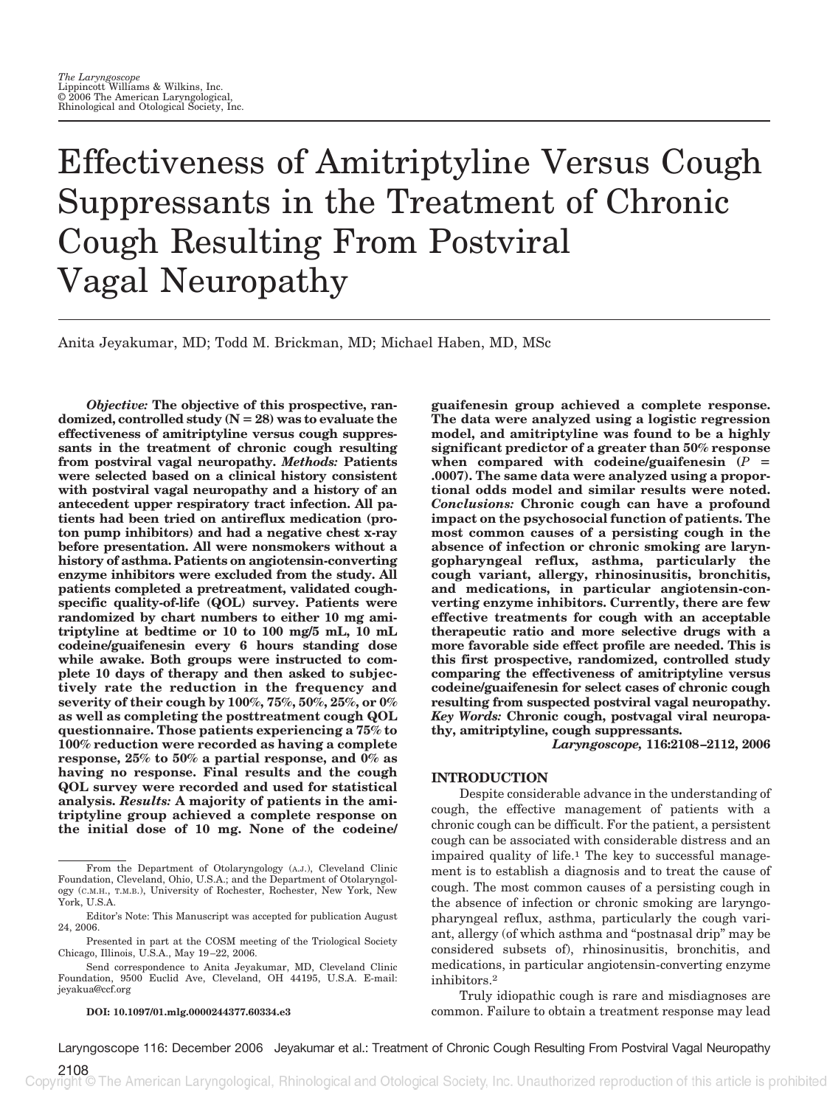# Effectiveness of Amitriptyline Versus Cough Suppressants in the Treatment of Chronic Cough Resulting From Postviral Vagal Neuropathy

Anita Jeyakumar, MD; Todd M. Brickman, MD; Michael Haben, MD, MSc

*Objective:* **The objective of this prospective, randomized, controlled study (N 28) was to evaluate the effectiveness of amitriptyline versus cough suppressants in the treatment of chronic cough resulting from postviral vagal neuropathy.** *Methods:* **Patients were selected based on a clinical history consistent with postviral vagal neuropathy and a history of an antecedent upper respiratory tract infection. All patients had been tried on antireflux medication (proton pump inhibitors) and had a negative chest x-ray before presentation. All were nonsmokers without a history of asthma. Patients on angiotensin-converting enzyme inhibitors were excluded from the study. All patients completed a pretreatment, validated coughspecific quality-of-life (QOL) survey. Patients were randomized by chart numbers to either 10 mg amitriptyline at bedtime or 10 to 100 mg/5 mL, 10 mL codeine/guaifenesin every 6 hours standing dose while awake. Both groups were instructed to complete 10 days of therapy and then asked to subjectively rate the reduction in the frequency and severity of their cough by 100%, 75%, 50%, 25%, or 0% as well as completing the posttreatment cough QOL questionnaire. Those patients experiencing a 75% to 100% reduction were recorded as having a complete response, 25% to 50% a partial response, and 0% as having no response. Final results and the cough QOL survey were recorded and used for statistical analysis.** *Results:* **A majority of patients in the amitriptyline group achieved a complete response on the initial dose of 10 mg. None of the codeine/**

#### **DOI: 10.1097/01.mlg.0000244377.60334.e3**

**guaifenesin group achieved a complete response. The data were analyzed using a logistic regression model, and amitriptyline was found to be a highly significant predictor of a greater than 50% response** when compared with codeine/guaifenesin  $(P =$ **.0007). The same data were analyzed using a proportional odds model and similar results were noted.** *Conclusions:* **Chronic cough can have a profound impact on the psychosocial function of patients. The most common causes of a persisting cough in the absence of infection or chronic smoking are laryngopharyngeal reflux, asthma, particularly the cough variant, allergy, rhinosinusitis, bronchitis, and medications, in particular angiotensin-converting enzyme inhibitors. Currently, there are few effective treatments for cough with an acceptable therapeutic ratio and more selective drugs with a more favorable side effect profile are needed. This is this first prospective, randomized, controlled study comparing the effectiveness of amitriptyline versus codeine/guaifenesin for select cases of chronic cough resulting from suspected postviral vagal neuropathy.** *Key Words:* **Chronic cough, postvagal viral neuropathy, amitriptyline, cough suppressants.**

*Laryngoscope,* **116:2108 –2112, 2006**

### **INTRODUCTION**

Despite considerable advance in the understanding of cough, the effective management of patients with a chronic cough can be difficult. For the patient, a persistent cough can be associated with considerable distress and an impaired quality of life.1 The key to successful management is to establish a diagnosis and to treat the cause of cough. The most common causes of a persisting cough in the absence of infection or chronic smoking are laryngopharyngeal reflux, asthma, particularly the cough variant, allergy (of which asthma and "postnasal drip" may be considered subsets of), rhinosinusitis, bronchitis, and medications, in particular angiotensin-converting enzyme inhibitors.2

Truly idiopathic cough is rare and misdiagnoses are common. Failure to obtain a treatment response may lead

From the Department of Otolaryngology (A.J.), Cleveland Clinic Foundation, Cleveland, Ohio, U.S.A.; and the Department of Otolaryngology (C.M.H., T.M.B.), University of Rochester, Rochester, New York, New York, U.S.A.

Editor's Note: This Manuscript was accepted for publication August 24, 2006.

Presented in part at the COSM meeting of the Triological Society Chicago, Illinois, U.S.A., May 19 –22, 2006.

Send correspondence to Anita Jeyakumar, MD, Cleveland Clinic Foundation, 9500 Euclid Ave, Cleveland, OH 44195, U.S.A. E-mail: jeyakua@ccf.org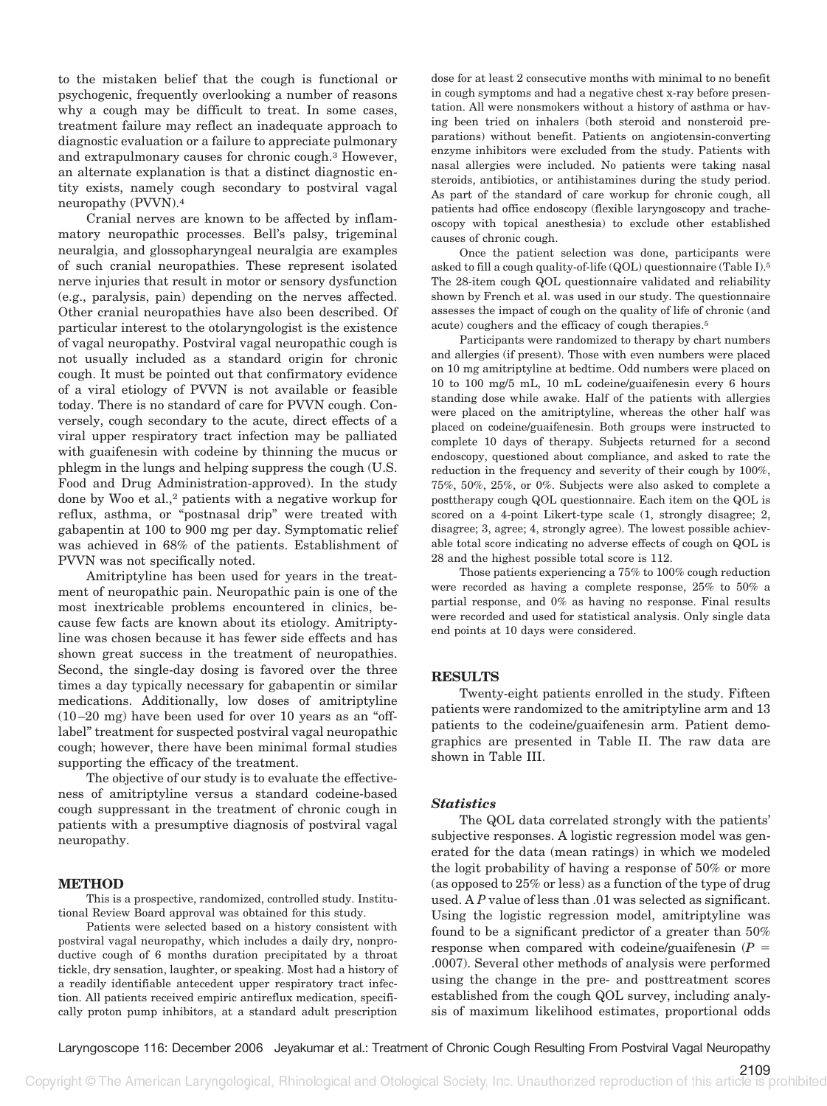to the mistaken belief that the cough is functional or psychogenic, frequently overlooking a number of reasons why a cough may be difficult to treat. In some cases, treatment failure may reflect an inadequate approach to diagnostic evaluation or a failure to appreciate pulmonary and extrapulmonary causes for chronic cough.3 However, an alternate explanation is that a distinct diagnostic entity exists, namely cough secondary to postviral vagal neuropathy (PVVN).4

Cranial nerves are known to be affected by inflammatory neuropathic processes. Bell's palsy, trigeminal neuralgia, and glossopharyngeal neuralgia are examples of such cranial neuropathies. These represent isolated nerve injuries that result in motor or sensory dysfunction (e.g., paralysis, pain) depending on the nerves affected. Other cranial neuropathies have also been described. Of particular interest to the otolaryngologist is the existence of vagal neuropathy. Postviral vagal neuropathic cough is not usually included as a standard origin for chronic cough. It must be pointed out that confirmatory evidence of a viral etiology of PVVN is not available or feasible today. There is no standard of care for PVVN cough. Conversely, cough secondary to the acute, direct effects of a viral upper respiratory tract infection may be palliated with guaifenesin with codeine by thinning the mucus or phlegm in the lungs and helping suppress the cough (U.S. Food and Drug Administration-approved). In the study done by Woo et al.,<sup>2</sup> patients with a negative workup for reflux, asthma, or "postnasal drip" were treated with gabapentin at 100 to 900 mg per day. Symptomatic relief was achieved in 68% of the patients. Establishment of PVVN was not specifically noted.

Amitriptyline has been used for years in the treatment of neuropathic pain. Neuropathic pain is one of the most inextricable problems encountered in clinics, because few facts are known about its etiology. Amitriptyline was chosen because it has fewer side effects and has shown great success in the treatment of neuropathies. Second, the single-day dosing is favored over the three times a day typically necessary for gabapentin or similar medications. Additionally, low doses of amitriptyline (10 –20 mg) have been used for over 10 years as an "offlabel" treatment for suspected postviral vagal neuropathic cough; however, there have been minimal formal studies supporting the efficacy of the treatment.

The objective of our study is to evaluate the effectiveness of amitriptyline versus a standard codeine-based cough suppressant in the treatment of chronic cough in patients with a presumptive diagnosis of postviral vagal neuropathy.

### **METHOD**

This is a prospective, randomized, controlled study. Institutional Review Board approval was obtained for this study.

Patients were selected based on a history consistent with postviral vagal neuropathy, which includes a daily dry, nonproductive cough of 6 months duration precipitated by a throat tickle, dry sensation, laughter, or speaking. Most had a history of a readily identifiable antecedent upper respiratory tract infection. All patients received empiric antireflux medication, specifically proton pump inhibitors, at a standard adult prescription

dose for at least 2 consecutive months with minimal to no benefit in cough symptoms and had a negative chest x-ray before presentation. All were nonsmokers without a history of asthma or having been tried on inhalers (both steroid and nonsteroid preparations) without benefit. Patients on angiotensin-converting enzyme inhibitors were excluded from the study. Patients with nasal allergies were included. No patients were taking nasal steroids, antibiotics, or antihistamines during the study period. As part of the standard of care workup for chronic cough, all patients had office endoscopy (flexible laryngoscopy and tracheoscopy with topical anesthesia) to exclude other established causes of chronic cough.

Once the patient selection was done, participants were asked to fill a cough quality-of-life (QOL) questionnaire (Table I).5 The 28-item cough QOL questionnaire validated and reliability shown by French et al. was used in our study. The questionnaire assesses the impact of cough on the quality of life of chronic (and acute) coughers and the efficacy of cough therapies.5

Participants were randomized to therapy by chart numbers and allergies (if present). Those with even numbers were placed on 10 mg amitriptyline at bedtime. Odd numbers were placed on 10 to 100 mg/5 mL, 10 mL codeine/guaifenesin every 6 hours standing dose while awake. Half of the patients with allergies were placed on the amitriptyline, whereas the other half was placed on codeine/guaifenesin. Both groups were instructed to complete 10 days of therapy. Subjects returned for a second endoscopy, questioned about compliance, and asked to rate the reduction in the frequency and severity of their cough by 100%, 75%, 50%, 25%, or 0%. Subjects were also asked to complete a posttherapy cough QOL questionnaire. Each item on the QOL is scored on a 4-point Likert-type scale (1, strongly disagree; 2, disagree; 3, agree; 4, strongly agree). The lowest possible achievable total score indicating no adverse effects of cough on QOL is 28 and the highest possible total score is 112.

Those patients experiencing a 75% to 100% cough reduction were recorded as having a complete response, 25% to 50% a partial response, and 0% as having no response. Final results were recorded and used for statistical analysis. Only single data end points at 10 days were considered.

## **RESULTS**

Twenty-eight patients enrolled in the study. Fifteen patients were randomized to the amitriptyline arm and 13 patients to the codeine/guaifenesin arm. Patient demographics are presented in Table II. The raw data are shown in Table III.

## *Statistics*

The QOL data correlated strongly with the patients' subjective responses. A logistic regression model was generated for the data (mean ratings) in which we modeled the logit probability of having a response of 50% or more (as opposed to 25% or less) as a function of the type of drug used. A *P* value of less than .01 was selected as significant. Using the logistic regression model, amitriptyline was found to be a significant predictor of a greater than 50% response when compared with codeine/guaifenesin (*P* .0007). Several other methods of analysis were performed using the change in the pre- and posttreatment scores established from the cough QOL survey, including analysis of maximum likelihood estimates, proportional odds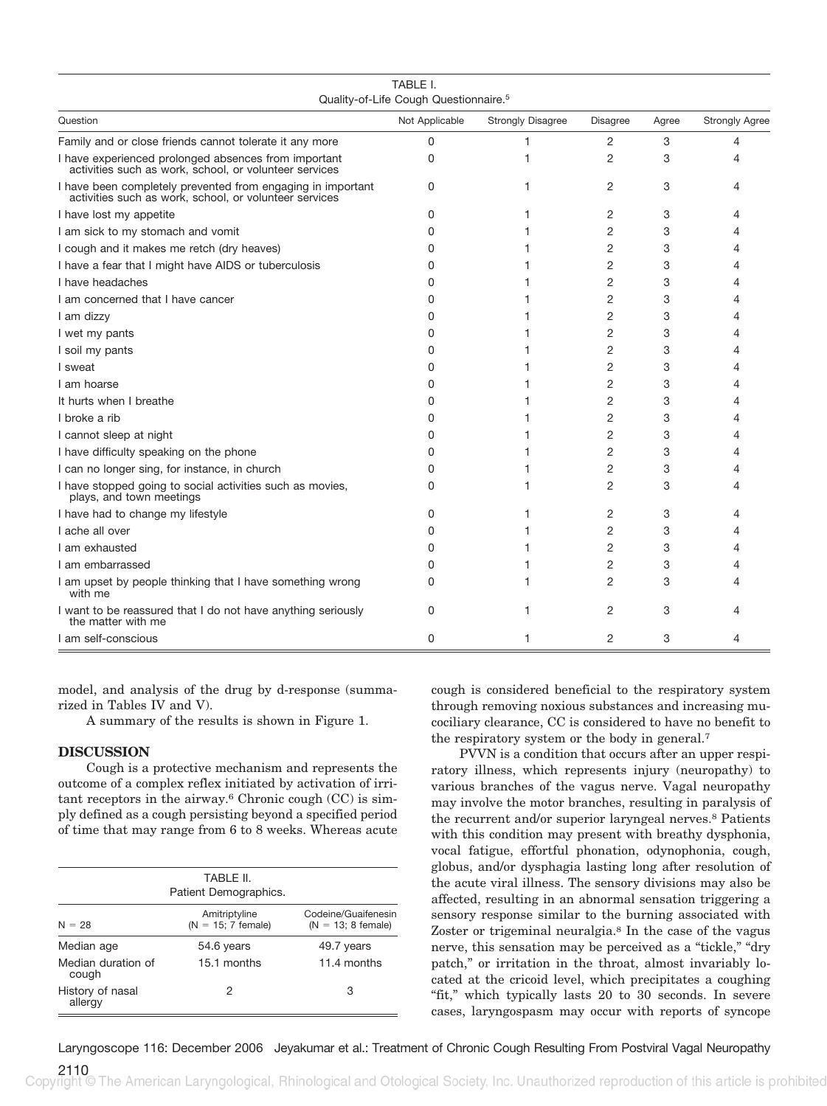| TABLE I.<br>Quality-of-Life Cough Questionnaire. <sup>5</sup>                                                         |                |                          |                 |       |                       |
|-----------------------------------------------------------------------------------------------------------------------|----------------|--------------------------|-----------------|-------|-----------------------|
| Question                                                                                                              | Not Applicable | <b>Strongly Disagree</b> | <b>Disagree</b> | Agree | <b>Strongly Agree</b> |
| Family and or close friends cannot tolerate it any more                                                               | $\Omega$       | 1                        | 2               | 3     | 4                     |
| I have experienced prolonged absences from important<br>activities such as work, school, or volunteer services        | 0              | 1                        | 2               | 3     | 4                     |
| I have been completely prevented from engaging in important<br>activities such as work, school, or volunteer services | 0              | 1                        | 2               | 3     | 4                     |
| I have lost my appetite                                                                                               | 0              | 1                        | 2               | 3     | 4                     |
| I am sick to my stomach and vomit                                                                                     | 0              | 1                        | $\overline{2}$  | 3     | 4                     |
| I cough and it makes me retch (dry heaves)                                                                            | 0              | 1                        | $\overline{2}$  | 3     | 4                     |
| I have a fear that I might have AIDS or tuberculosis                                                                  | 0              |                          | 2               | 3     | 4                     |
| I have headaches                                                                                                      | 0              | 1                        | 2               | 3     | 4                     |
| I am concerned that I have cancer                                                                                     | 0              |                          | 2               | 3     | 4                     |
| I am dizzy                                                                                                            | 0              | 1                        | 2               | 3     | 4                     |
| I wet my pants                                                                                                        | 0              | 1                        | 2               | 3     | 4                     |
| I soil my pants                                                                                                       | 0              | 1                        | $\overline{2}$  | 3     | 4                     |
| I sweat                                                                                                               | 0              | 1                        | $\overline{2}$  | 3     | 4                     |
| I am hoarse                                                                                                           | 0              |                          | 2               | 3     | 4                     |
| It hurts when I breathe                                                                                               | 0              | 1                        | $\overline{2}$  | 3     | 4                     |
| I broke a rib                                                                                                         | <sup>0</sup>   |                          | 2               | 3     | 4                     |
| I cannot sleep at night                                                                                               | 0              | 1                        | $\overline{2}$  | 3     | 4                     |
| I have difficulty speaking on the phone                                                                               | 0              | 1                        | $\overline{2}$  | 3     | 4                     |
| I can no longer sing, for instance, in church                                                                         | 0              | 1                        | $\overline{2}$  | 3     | 4                     |
| I have stopped going to social activities such as movies,<br>plays, and town meetings                                 | 0              | 1                        | $\overline{2}$  | 3     | 4                     |
| I have had to change my lifestyle                                                                                     | 0              | 1                        | 2               | 3     | 4                     |
| I ache all over                                                                                                       | 0              | 1                        | $\overline{2}$  | 3     | 4                     |
| I am exhausted                                                                                                        | 0              | 1                        | $\overline{2}$  | 3     | 4                     |
| I am embarrassed                                                                                                      | 0              | 1                        | 2               | 3     | 4                     |
| I am upset by people thinking that I have something wrong<br>with me                                                  | $\Omega$       | 1                        | $\overline{2}$  | 3     | 4                     |
| I want to be reassured that I do not have anything seriously<br>the matter with me                                    | 0              | 1                        | 2               | 3     | Δ                     |
| I am self-conscious                                                                                                   | $\Omega$       | 1                        | 2               | 3     | 4                     |

rized in Tables IV and V). A summary of the results is shown in Figure 1.

model, and analysis of the drug by d-response (summa-

## **DISCUSSION**

Cough is a protective mechanism and represents the outcome of a complex reflex initiated by activation of irritant receptors in the airway.6 Chronic cough (CC) is simply defined as a cough persisting beyond a specified period of time that may range from 6 to 8 weeks. Whereas acute

| TABLE II.<br>Patient Demographics. |                                       |                                             |  |
|------------------------------------|---------------------------------------|---------------------------------------------|--|
| $N = 28$                           | Amitriptyline<br>$(N = 15; 7$ female) | Codeine/Guaifenesin<br>$(N = 13; 8$ female) |  |
| Median age                         | 54.6 years                            | 49.7 years                                  |  |
| Median duration of<br>cough        | 15.1 months                           | 11.4 months                                 |  |
| History of nasal<br>allergy        | 2                                     | 3                                           |  |

cough is considered beneficial to the respiratory system through removing noxious substances and increasing mucociliary clearance, CC is considered to have no benefit to the respiratory system or the body in general.7

PVVN is a condition that occurs after an upper respiratory illness, which represents injury (neuropathy) to various branches of the vagus nerve. Vagal neuropathy may involve the motor branches, resulting in paralysis of the recurrent and/or superior laryngeal nerves.8 Patients with this condition may present with breathy dysphonia, vocal fatigue, effortful phonation, odynophonia, cough, globus, and/or dysphagia lasting long after resolution of the acute viral illness. The sensory divisions may also be affected, resulting in an abnormal sensation triggering a sensory response similar to the burning associated with Zoster or trigeminal neuralgia.8 In the case of the vagus nerve, this sensation may be perceived as a "tickle," "dry patch," or irritation in the throat, almost invariably located at the cricoid level, which precipitates a coughing "fit," which typically lasts 20 to 30 seconds. In severe cases, laryngospasm may occur with reports of syncope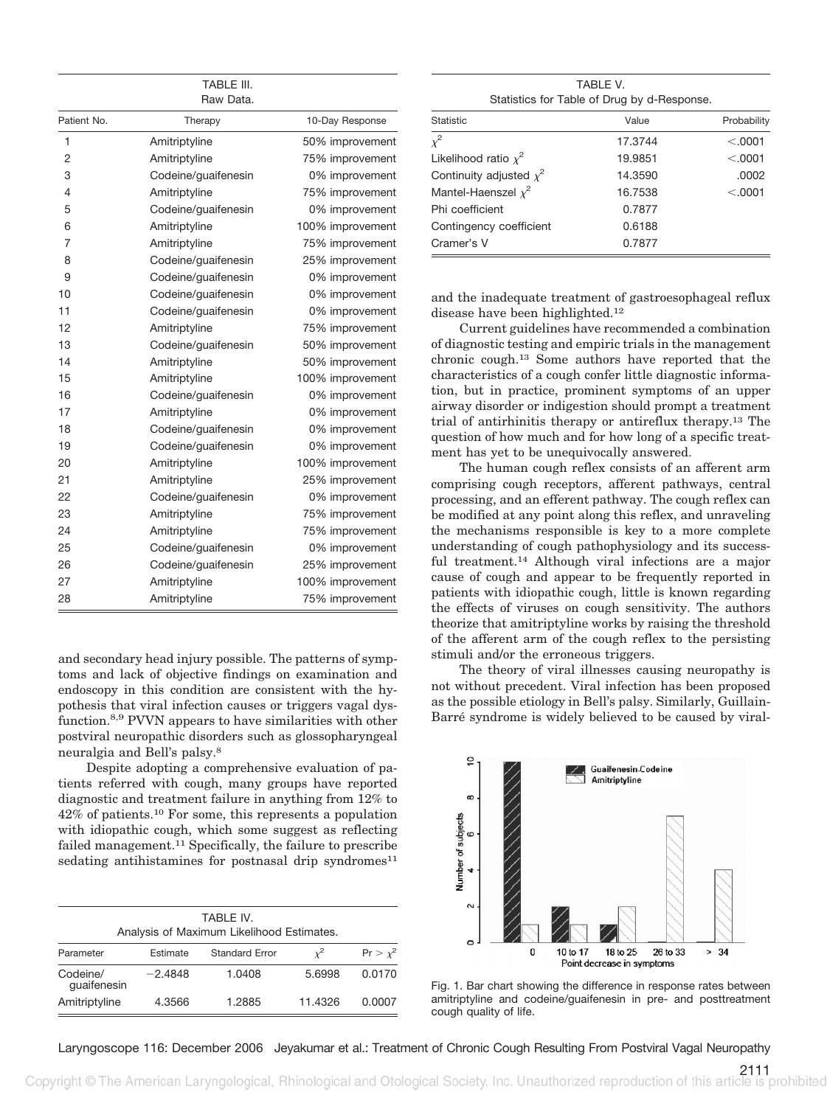TABLE III. Raw Data.

| Patient No.    | Therapy             | 10-Day Response  |
|----------------|---------------------|------------------|
| 1              | Amitriptyline       | 50% improvement  |
| 2              | Amitriptyline       | 75% improvement  |
| 3              | Codeine/guaifenesin | 0% improvement   |
| $\overline{4}$ | Amitriptyline       | 75% improvement  |
| 5              | Codeine/guaifenesin | 0% improvement   |
| 6              | Amitriptyline       | 100% improvement |
| $\overline{7}$ | Amitriptyline       | 75% improvement  |
| 8              |                     | 25% improvement  |
| 9              | Codeine/guaifenesin |                  |
| 10             | Codeine/guaifenesin | 0% improvement   |
|                | Codeine/guaifenesin | 0% improvement   |
| 11             | Codeine/guaifenesin | 0% improvement   |
| 12             | Amitriptyline       | 75% improvement  |
| 13             | Codeine/guaifenesin | 50% improvement  |
| 14             | Amitriptyline       | 50% improvement  |
| 15             | Amitriptyline       | 100% improvement |
| 16             | Codeine/guaifenesin | 0% improvement   |
| 17             | Amitriptyline       | 0% improvement   |
| 18             | Codeine/guaifenesin | 0% improvement   |
| 19             | Codeine/guaifenesin | 0% improvement   |
| 20             | Amitriptyline       | 100% improvement |
| 21             | Amitriptyline       | 25% improvement  |
| 22             | Codeine/guaifenesin | 0% improvement   |
| 23             | Amitriptyline       | 75% improvement  |
| 24             | Amitriptyline       | 75% improvement  |
| 25             | Codeine/guaifenesin | 0% improvement   |
| 26             | Codeine/guaifenesin | 25% improvement  |
| 27             | Amitriptyline       | 100% improvement |
| 28             | Amitriptyline       | 75% improvement  |
|                |                     |                  |

and secondary head injury possible. The patterns of symptoms and lack of objective findings on examination and endoscopy in this condition are consistent with the hypothesis that viral infection causes or triggers vagal dysfunction.8,9 PVVN appears to have similarities with other postviral neuropathic disorders such as glossopharyngeal neuralgia and Bell's palsy.8

Despite adopting a comprehensive evaluation of patients referred with cough, many groups have reported diagnostic and treatment failure in anything from 12% to 42% of patients.10 For some, this represents a population with idiopathic cough, which some suggest as reflecting failed management.11 Specifically, the failure to prescribe sedating antihistamines for postnasal drip syndromes $11$ 

| TABLE IV.<br>Analysis of Maximum Likelihood Estimates. |                 |                       |            |               |
|--------------------------------------------------------|-----------------|-----------------------|------------|---------------|
| Parameter                                              | <b>Estimate</b> | <b>Standard Error</b> | $\sqrt{2}$ | $Pr > \chi^2$ |
| Codeine/<br>quaifenesin                                | $-2.4848$       | 1.0408                | 5.6998     | 0.0170        |
| Amitriptyline                                          | 4.3566          | 1.2885                | 11.4326    | 0.0007        |

TABLE V. Statistics for Table of Drug by d-Response.

| Statistic                    | Value   | Probability |
|------------------------------|---------|-------------|
| $x^2$                        | 17.3744 | < 0.0001    |
| Likelihood ratio $x^2$       | 19.9851 | < 0.0001    |
| Continuity adjusted $\chi^2$ | 14.3590 | .0002       |
| Mantel-Haenszel $x^2$        | 16.7538 | < 0.0001    |
| Phi coefficient              | 0.7877  |             |
| Contingency coefficient      | 0.6188  |             |
| Cramer's V                   | 0.7877  |             |

and the inadequate treatment of gastroesophageal reflux disease have been highlighted.12

Current guidelines have recommended a combination of diagnostic testing and empiric trials in the management chronic cough.13 Some authors have reported that the characteristics of a cough confer little diagnostic information, but in practice, prominent symptoms of an upper airway disorder or indigestion should prompt a treatment trial of antirhinitis therapy or antireflux therapy.13 The question of how much and for how long of a specific treatment has yet to be unequivocally answered.

The human cough reflex consists of an afferent arm comprising cough receptors, afferent pathways, central processing, and an efferent pathway. The cough reflex can be modified at any point along this reflex, and unraveling the mechanisms responsible is key to a more complete understanding of cough pathophysiology and its successful treatment.14 Although viral infections are a major cause of cough and appear to be frequently reported in patients with idiopathic cough, little is known regarding the effects of viruses on cough sensitivity. The authors theorize that amitriptyline works by raising the threshold of the afferent arm of the cough reflex to the persisting stimuli and/or the erroneous triggers.

The theory of viral illnesses causing neuropathy is not without precedent. Viral infection has been proposed as the possible etiology in Bell's palsy. Similarly, Guillain-Barré syndrome is widely believed to be caused by viral-



Fig. 1. Bar chart showing the difference in response rates between amitriptyline and codeine/guaifenesin in pre- and posttreatment cough quality of life.